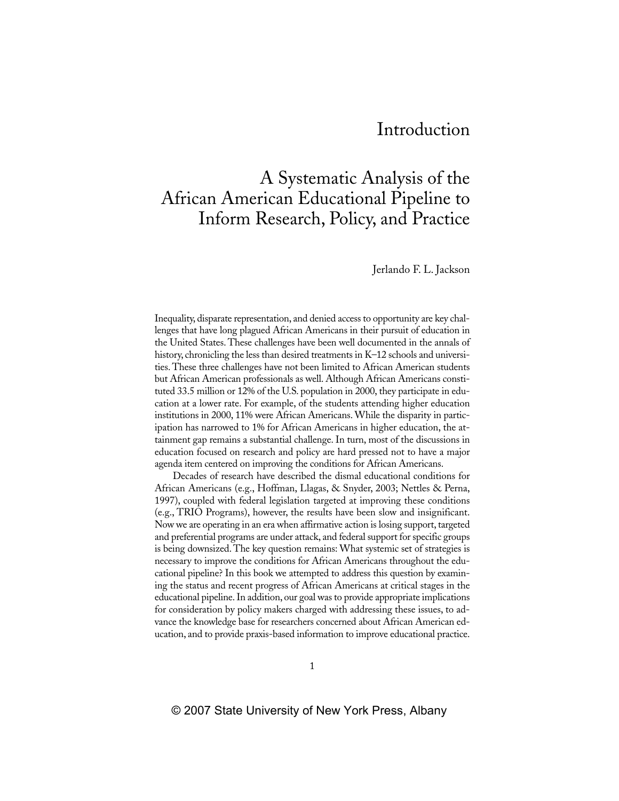## Introduction

# A Systematic Analysis of the African American Educational Pipeline to Inform Research, Policy, and Practice

Jerlando F. L. Jackson

Inequality, disparate representation, and denied access to opportunity are key challenges that have long plagued African Americans in their pursuit of education in the United States. These challenges have been well documented in the annals of history, chronicling the less than desired treatments in K–12 schools and universities. These three challenges have not been limited to African American students but African American professionals as well. Although African Americans constituted 33.5 million or 12% of the U.S. population in 2000, they participate in education at a lower rate. For example, of the students attending higher education institutions in 2000, 11% were African Americans. While the disparity in participation has narrowed to 1% for African Americans in higher education, the attainment gap remains a substantial challenge. In turn, most of the discussions in education focused on research and policy are hard pressed not to have a major agenda item centered on improving the conditions for African Americans.

Decades of research have described the dismal educational conditions for African Americans (e.g., Hoffman, Llagas, & Snyder, 2003; Nettles & Perna, 1997), coupled with federal legislation targeted at improving these conditions (e.g., TRIO Programs), however, the results have been slow and insignificant. Now we are operating in an era when affirmative action is losing support, targeted and preferential programs are under attack, and federal support for specific groups is being downsized. The key question remains: What systemic set of strategies is necessary to improve the conditions for African Americans throughout the educational pipeline? In this book we attempted to address this question by examining the status and recent progress of African Americans at critical stages in the educational pipeline. In addition, our goal was to provide appropriate implications for consideration by policy makers charged with addressing these issues, to advance the knowledge base for researchers concerned about African American education, and to provide praxis-based information to improve educational practice.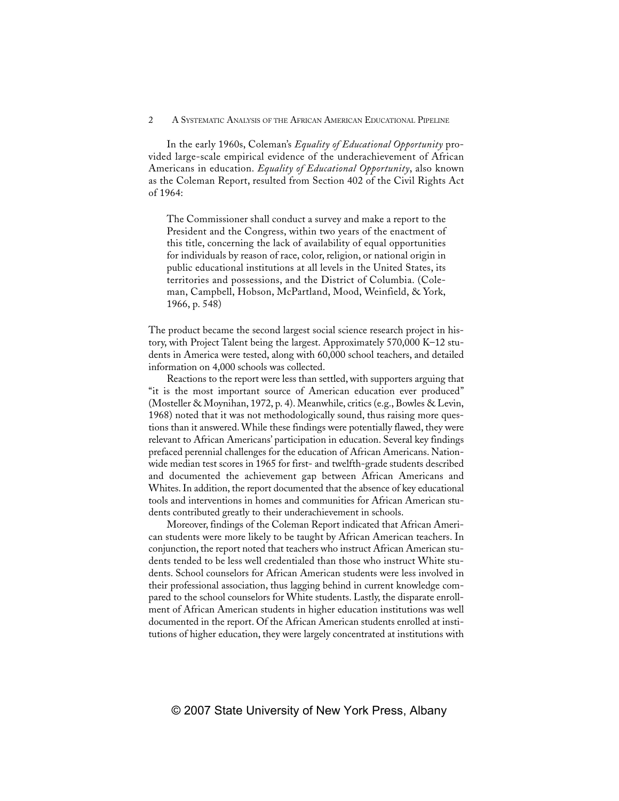In the early 1960s, Coleman's *Equality of Educational Opportunity* provided large-scale empirical evidence of the underachievement of African Americans in education. *Equality of Educational Opportunity*, also known as the Coleman Report, resulted from Section 402 of the Civil Rights Act of 1964:

The Commissioner shall conduct a survey and make a report to the President and the Congress, within two years of the enactment of this title, concerning the lack of availability of equal opportunities for individuals by reason of race, color, religion, or national origin in public educational institutions at all levels in the United States, its territories and possessions, and the District of Columbia. (Coleman, Campbell, Hobson, McPartland, Mood, Weinfield, & York, 1966, p. 548)

The product became the second largest social science research project in history, with Project Talent being the largest. Approximately 570,000 K–12 students in America were tested, along with 60,000 school teachers, and detailed information on 4,000 schools was collected.

Reactions to the report were less than settled, with supporters arguing that "it is the most important source of American education ever produced" (Mosteller & Moynihan, 1972, p. 4). Meanwhile, critics (e.g., Bowles & Levin, 1968) noted that it was not methodologically sound, thus raising more questions than it answered. While these findings were potentially flawed, they were relevant to African Americans' participation in education. Several key findings prefaced perennial challenges for the education of African Americans. Nationwide median test scores in 1965 for first- and twelfth-grade students described and documented the achievement gap between African Americans and Whites. In addition, the report documented that the absence of key educational tools and interventions in homes and communities for African American students contributed greatly to their underachievement in schools.

Moreover, findings of the Coleman Report indicated that African American students were more likely to be taught by African American teachers. In conjunction, the report noted that teachers who instruct African American students tended to be less well credentialed than those who instruct White students. School counselors for African American students were less involved in their professional association, thus lagging behind in current knowledge compared to the school counselors for White students. Lastly, the disparate enrollment of African American students in higher education institutions was well documented in the report. Of the African American students enrolled at institutions of higher education, they were largely concentrated at institutions with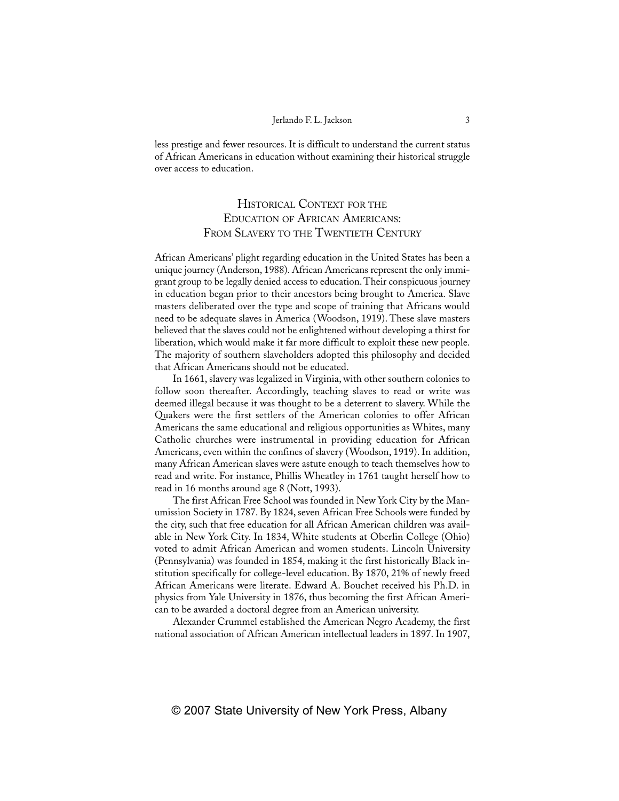less prestige and fewer resources. It is difficult to understand the current status of African Americans in education without examining their historical struggle over access to education.

## HISTORICAL CONTEXT FOR THE EDUCATION OF AFRICAN AMERICANS: FROM SLAVERY TO THE TWENTIETH CENTURY

African Americans' plight regarding education in the United States has been a unique journey (Anderson, 1988). African Americans represent the only immigrant group to be legally denied access to education. Their conspicuous journey in education began prior to their ancestors being brought to America. Slave masters deliberated over the type and scope of training that Africans would need to be adequate slaves in America (Woodson, 1919). These slave masters believed that the slaves could not be enlightened without developing a thirst for liberation, which would make it far more difficult to exploit these new people. The majority of southern slaveholders adopted this philosophy and decided that African Americans should not be educated.

In 1661, slavery was legalized in Virginia, with other southern colonies to follow soon thereafter. Accordingly, teaching slaves to read or write was deemed illegal because it was thought to be a deterrent to slavery. While the Quakers were the first settlers of the American colonies to offer African Americans the same educational and religious opportunities as Whites, many Catholic churches were instrumental in providing education for African Americans, even within the confines of slavery (Woodson, 1919). In addition, many African American slaves were astute enough to teach themselves how to read and write. For instance, Phillis Wheatley in 1761 taught herself how to read in 16 months around age 8 (Nott, 1993).

The first African Free School was founded in New York City by the Manumission Society in 1787. By 1824, seven African Free Schools were funded by the city, such that free education for all African American children was available in New York City. In 1834, White students at Oberlin College (Ohio) voted to admit African American and women students. Lincoln University (Pennsylvania) was founded in 1854, making it the first historically Black institution specifically for college-level education. By 1870, 21% of newly freed African Americans were literate. Edward A. Bouchet received his Ph.D. in physics from Yale University in 1876, thus becoming the first African American to be awarded a doctoral degree from an American university.

Alexander Crummel established the American Negro Academy, the first national association of African American intellectual leaders in 1897. In 1907,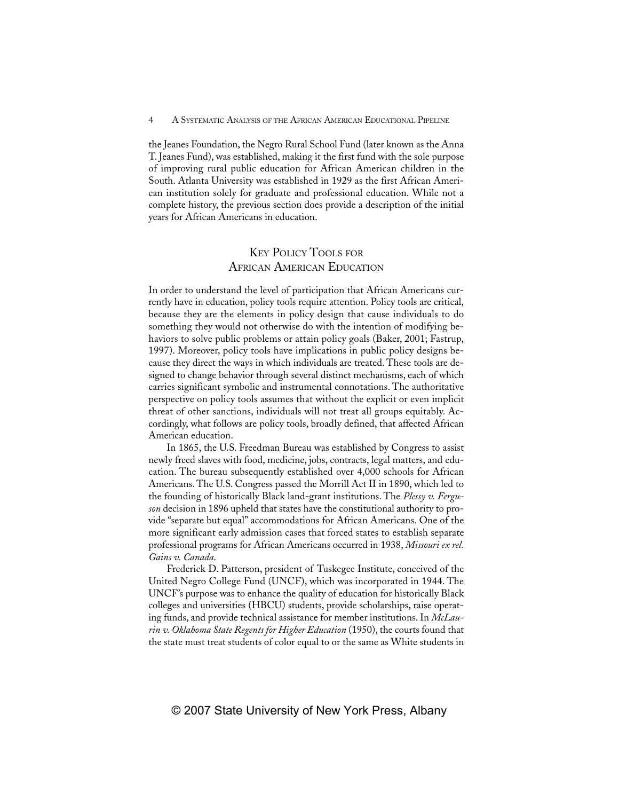the Jeanes Foundation, the Negro Rural School Fund (later known as the Anna T. Jeanes Fund), was established, making it the first fund with the sole purpose of improving rural public education for African American children in the South. Atlanta University was established in 1929 as the first African American institution solely for graduate and professional education. While not a complete history, the previous section does provide a description of the initial years for African Americans in education.

## KEY POLICY TOOLS FOR AFRICAN AMERICAN EDUCATION

In order to understand the level of participation that African Americans currently have in education, policy tools require attention. Policy tools are critical, because they are the elements in policy design that cause individuals to do something they would not otherwise do with the intention of modifying behaviors to solve public problems or attain policy goals (Baker, 2001; Fastrup, 1997). Moreover, policy tools have implications in public policy designs because they direct the ways in which individuals are treated. These tools are designed to change behavior through several distinct mechanisms, each of which carries significant symbolic and instrumental connotations. The authoritative perspective on policy tools assumes that without the explicit or even implicit threat of other sanctions, individuals will not treat all groups equitably. Accordingly, what follows are policy tools, broadly defined, that affected African American education.

In 1865, the U.S. Freedman Bureau was established by Congress to assist newly freed slaves with food, medicine, jobs, contracts, legal matters, and education. The bureau subsequently established over 4,000 schools for African Americans. The U.S. Congress passed the Morrill Act II in 1890, which led to the founding of historically Black land-grant institutions. The *Plessy v. Ferguson* decision in 1896 upheld that states have the constitutional authority to provide "separate but equal" accommodations for African Americans. One of the more significant early admission cases that forced states to establish separate professional programs for African Americans occurred in 1938, *Missouri ex rel. Gains v. Canada*.

Frederick D. Patterson, president of Tuskegee Institute, conceived of the United Negro College Fund (UNCF), which was incorporated in 1944. The UNCF's purpose was to enhance the quality of education for historically Black colleges and universities (HBCU) students, provide scholarships, raise operating funds, and provide technical assistance for member institutions. In *McLaurin v. Oklahoma State Regents for Higher Education* (1950), the courts found that the state must treat students of color equal to or the same as White students in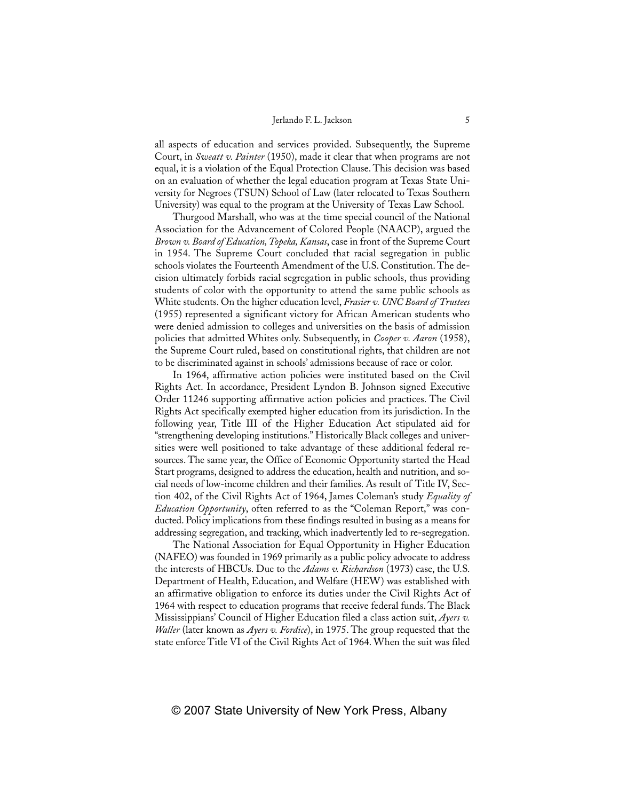all aspects of education and services provided. Subsequently, the Supreme Court, in *Sweatt v. Painter* (1950), made it clear that when programs are not equal, it is a violation of the Equal Protection Clause. This decision was based on an evaluation of whether the legal education program at Texas State University for Negroes (TSUN) School of Law (later relocated to Texas Southern University) was equal to the program at the University of Texas Law School.

Thurgood Marshall, who was at the time special council of the National Association for the Advancement of Colored People (NAACP), argued the *Brown v. Board of Education, Topeka, Kansas*, case in front of the Supreme Court in 1954. The Supreme Court concluded that racial segregation in public schools violates the Fourteenth Amendment of the U.S. Constitution. The decision ultimately forbids racial segregation in public schools, thus providing students of color with the opportunity to attend the same public schools as White students. On the higher education level, *Frasier v. UNC Board of Trustees* (1955) represented a significant victory for African American students who were denied admission to colleges and universities on the basis of admission policies that admitted Whites only. Subsequently, in *Cooper v. Aaron* (1958), the Supreme Court ruled, based on constitutional rights, that children are not to be discriminated against in schools' admissions because of race or color.

In 1964, affirmative action policies were instituted based on the Civil Rights Act. In accordance, President Lyndon B. Johnson signed Executive Order 11246 supporting affirmative action policies and practices. The Civil Rights Act specifically exempted higher education from its jurisdiction. In the following year, Title III of the Higher Education Act stipulated aid for "strengthening developing institutions." Historically Black colleges and universities were well positioned to take advantage of these additional federal resources. The same year, the Office of Economic Opportunity started the Head Start programs, designed to address the education, health and nutrition, and social needs of low-income children and their families. As result of Title IV, Section 402, of the Civil Rights Act of 1964, James Coleman's study *Equality of Education Opportunity*, often referred to as the "Coleman Report," was conducted. Policy implications from these findings resulted in busing as a means for addressing segregation, and tracking, which inadvertently led to re-segregation.

The National Association for Equal Opportunity in Higher Education (NAFEO) was founded in 1969 primarily as a public policy advocate to address the interests of HBCUs. Due to the *Adams v. Richardson* (1973) case, the U.S. Department of Health, Education, and Welfare (HEW) was established with an affirmative obligation to enforce its duties under the Civil Rights Act of 1964 with respect to education programs that receive federal funds. The Black Mississippians' Council of Higher Education filed a class action suit, *Ayers v. Waller* (later known as *Ayers v. Fordice*), in 1975. The group requested that the state enforce Title VI of the Civil Rights Act of 1964. When the suit was filed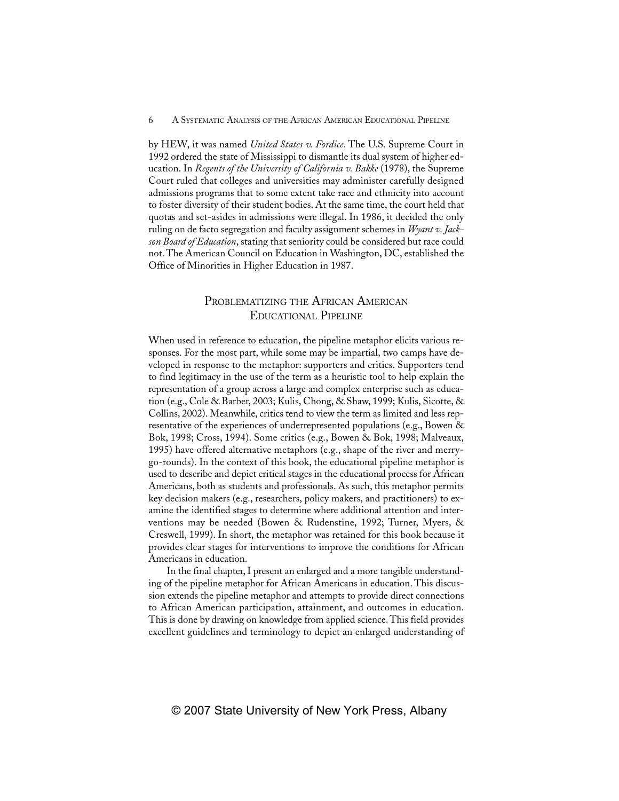by HEW, it was named *United States v. Fordice*. The U.S. Supreme Court in 1992 ordered the state of Mississippi to dismantle its dual system of higher education. In *Regents of the University of California v. Bakke* (1978), the Supreme Court ruled that colleges and universities may administer carefully designed admissions programs that to some extent take race and ethnicity into account to foster diversity of their student bodies. At the same time, the court held that quotas and set-asides in admissions were illegal. In 1986, it decided the only ruling on de facto segregation and faculty assignment schemes in *Wyant v. Jackson Board of Education*, stating that seniority could be considered but race could not. The American Council on Education in Washington, DC, established the Office of Minorities in Higher Education in 1987.

#### PROBLEMATIZING THE AFRICAN AMERICAN EDUCATIONAL PIPELINE

When used in reference to education, the pipeline metaphor elicits various responses. For the most part, while some may be impartial, two camps have developed in response to the metaphor: supporters and critics. Supporters tend to find legitimacy in the use of the term as a heuristic tool to help explain the representation of a group across a large and complex enterprise such as education (e.g., Cole & Barber, 2003; Kulis, Chong, & Shaw, 1999; Kulis, Sicotte, & Collins, 2002). Meanwhile, critics tend to view the term as limited and less representative of the experiences of underrepresented populations (e.g., Bowen & Bok, 1998; Cross, 1994). Some critics (e.g., Bowen & Bok, 1998; Malveaux, 1995) have offered alternative metaphors (e.g., shape of the river and merrygo-rounds). In the context of this book, the educational pipeline metaphor is used to describe and depict critical stages in the educational process for African Americans, both as students and professionals. As such, this metaphor permits key decision makers (e.g., researchers, policy makers, and practitioners) to examine the identified stages to determine where additional attention and interventions may be needed (Bowen & Rudenstine, 1992; Turner, Myers, & Creswell, 1999). In short, the metaphor was retained for this book because it provides clear stages for interventions to improve the conditions for African Americans in education.

In the final chapter, I present an enlarged and a more tangible understanding of the pipeline metaphor for African Americans in education. This discussion extends the pipeline metaphor and attempts to provide direct connections to African American participation, attainment, and outcomes in education. This is done by drawing on knowledge from applied science. This field provides excellent guidelines and terminology to depict an enlarged understanding of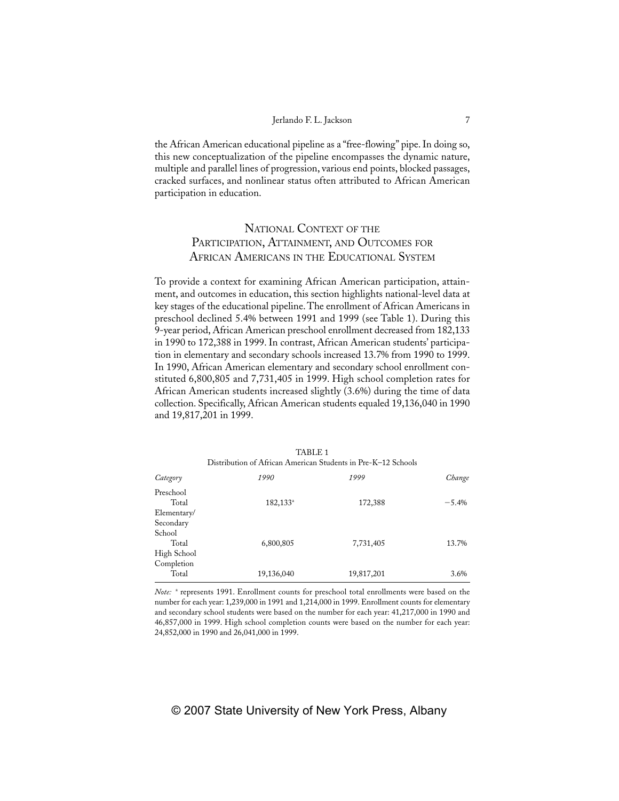the African American educational pipeline as a "free-flowing" pipe. In doing so, this new conceptualization of the pipeline encompasses the dynamic nature, multiple and parallel lines of progression, various end points, blocked passages, cracked surfaces, and nonlinear status often attributed to African American participation in education.

## NATIONAL CONTEXT OF THE PARTICIPATION, ATTAINMENT, AND OUTCOMES FOR AFRICAN AMERICANS IN THE EDUCATIONAL SYSTEM

To provide a context for examining African American participation, attainment, and outcomes in education, this section highlights national-level data at key stages of the educational pipeline. The enrollment of African Americans in preschool declined 5.4% between 1991 and 1999 (see Table 1). During this 9-year period, African American preschool enrollment decreased from 182,133 in 1990 to 172,388 in 1999. In contrast, African American students' participation in elementary and secondary schools increased 13.7% from 1990 to 1999. In 1990, African American elementary and secondary school enrollment constituted 6,800,805 and 7,731,405 in 1999. High school completion rates for African American students increased slightly (3.6%) during the time of data collection. Specifically, African American students equaled 19,136,040 in 1990 and 19,817,201 in 1999.

| Category                                       | 1990               | 1999       | Change  |
|------------------------------------------------|--------------------|------------|---------|
| Preschool<br>Total<br>Elementary/<br>Secondary | $182, 133^{\circ}$ | 172,388    | $-5.4%$ |
| School<br>Total<br>High School                 | 6,800,805          | 7,731,405  | 13.7%   |
| Completion<br>Total                            | 19,136,040         | 19,817,201 | 3.6%    |

| TABLE 1                                                       |
|---------------------------------------------------------------|
| Distribution of African American Students in Pre-K-12 Schools |

*Note:* <sup>a</sup> represents 1991. Enrollment counts for preschool total enrollments were based on the number for each year: 1,239,000 in 1991 and 1,214,000 in 1999. Enrollment counts for elementary and secondary school students were based on the number for each year: 41,217,000 in 1990 and 46,857,000 in 1999. High school completion counts were based on the number for each year: 24,852,000 in 1990 and 26,041,000 in 1999.

## © 2007 State University of New York Press, Albany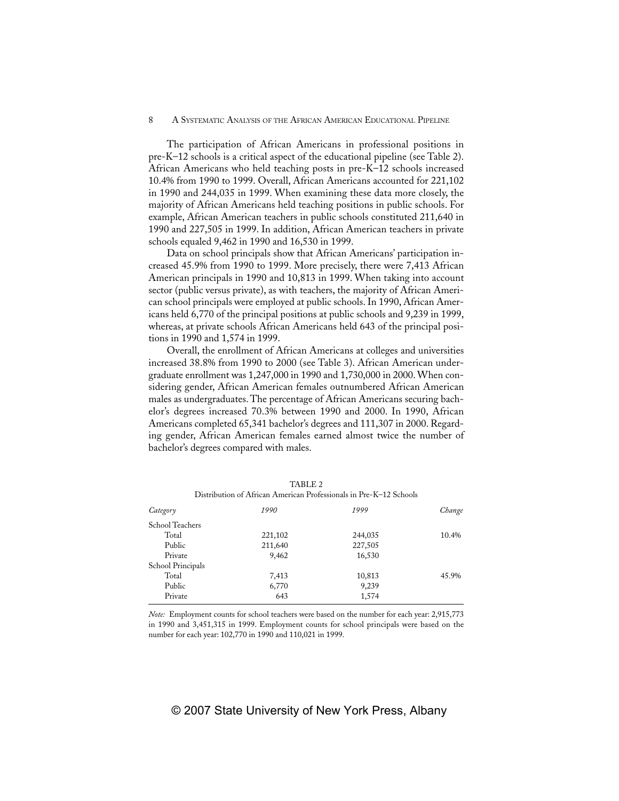The participation of African Americans in professional positions in pre-K–12 schools is a critical aspect of the educational pipeline (see Table 2). African Americans who held teaching posts in pre-K–12 schools increased 10.4% from 1990 to 1999. Overall, African Americans accounted for 221,102 in 1990 and 244,035 in 1999. When examining these data more closely, the majority of African Americans held teaching positions in public schools. For example, African American teachers in public schools constituted 211,640 in 1990 and 227,505 in 1999. In addition, African American teachers in private schools equaled 9,462 in 1990 and 16,530 in 1999.

Data on school principals show that African Americans' participation increased 45.9% from 1990 to 1999. More precisely, there were 7,413 African American principals in 1990 and 10,813 in 1999. When taking into account sector (public versus private), as with teachers, the majority of African American school principals were employed at public schools. In 1990, African Americans held 6,770 of the principal positions at public schools and 9,239 in 1999, whereas, at private schools African Americans held 643 of the principal positions in 1990 and 1,574 in 1999.

Overall, the enrollment of African Americans at colleges and universities increased 38.8% from 1990 to 2000 (see Table 3). African American undergraduate enrollment was 1,247,000 in 1990 and 1,730,000 in 2000. When considering gender, African American females outnumbered African American males as undergraduates. The percentage of African Americans securing bachelor's degrees increased 70.3% between 1990 and 2000. In 1990, African Americans completed 65,341 bachelor's degrees and 111,307 in 2000. Regarding gender, African American females earned almost twice the number of bachelor's degrees compared with males.

| L'istruttoni of Frincan Frinchcan Froncsonomais in FTC TE Centous |         |         |        |  |  |
|-------------------------------------------------------------------|---------|---------|--------|--|--|
| Category                                                          | 1990    | 1999    | Change |  |  |
| School Teachers                                                   |         |         |        |  |  |
| Total                                                             | 221,102 | 244,035 | 10.4%  |  |  |
| Public                                                            | 211,640 | 227,505 |        |  |  |
| Private                                                           | 9,462   | 16,530  |        |  |  |
| School Principals                                                 |         |         |        |  |  |
| Total                                                             | 7,413   | 10,813  | 45.9%  |  |  |
| Public                                                            | 6,770   | 9,239   |        |  |  |
| Private                                                           | 643     | 1,574   |        |  |  |
|                                                                   |         |         |        |  |  |

TABLE 2 Distribution of African American Professionals in Pre-K–12 Schools

*Note:* Employment counts for school teachers were based on the number for each year: 2,915,773 in 1990 and 3,451,315 in 1999. Employment counts for school principals were based on the number for each year: 102,770 in 1990 and 110,021 in 1999.

## © 2007 State University of New York Press, Albany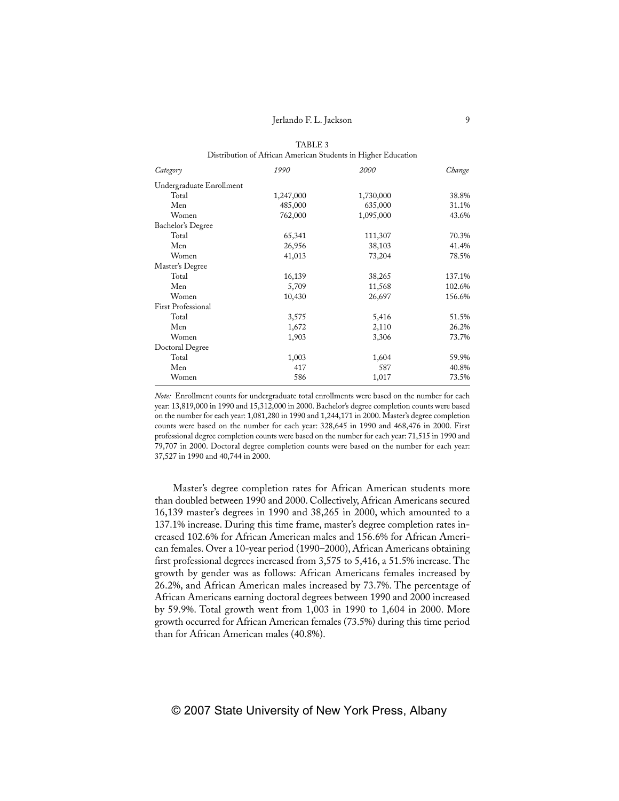| Category                 | 1990      | 2000      | Change |
|--------------------------|-----------|-----------|--------|
| Undergraduate Enrollment |           |           |        |
| Total                    | 1,247,000 | 1,730,000 | 38.8%  |
| Men                      | 485,000   | 635,000   | 31.1%  |
| Women                    | 762,000   | 1,095,000 | 43.6%  |
| Bachelor's Degree        |           |           |        |
| Total                    | 65,341    | 111,307   | 70.3%  |
| Men                      | 26,956    | 38,103    | 41.4%  |
| Women                    | 41,013    | 73,204    | 78.5%  |
| Master's Degree          |           |           |        |
| Total                    | 16,139    | 38,265    | 137.1% |
| Men                      | 5,709     | 11,568    | 102.6% |
| Women                    | 10,430    | 26,697    | 156.6% |
| First Professional       |           |           |        |
| Total                    | 3,575     | 5,416     | 51.5%  |
| Men                      | 1,672     | 2,110     | 26.2%  |
| Women                    | 1,903     | 3,306     | 73.7%  |
| Doctoral Degree          |           |           |        |
| Total                    | 1,003     | 1,604     | 59.9%  |
| Men                      | 417       | 587       | 40.8%  |
| Women                    | 586       | 1,017     | 73.5%  |

TABLE 3 Distribution of African American Students in Higher Education

*Note:* Enrollment counts for undergraduate total enrollments were based on the number for each year: 13,819,000 in 1990 and 15,312,000 in 2000. Bachelor's degree completion counts were based on the number for each year: 1,081,280 in 1990 and 1,244,171 in 2000. Master's degree completion counts were based on the number for each year: 328,645 in 1990 and 468,476 in 2000. First professional degree completion counts were based on the number for each year: 71,515 in 1990 and 79,707 in 2000. Doctoral degree completion counts were based on the number for each year: 37,527 in 1990 and 40,744 in 2000.

Master's degree completion rates for African American students more than doubled between 1990 and 2000. Collectively, African Americans secured 16,139 master's degrees in 1990 and 38,265 in 2000, which amounted to a 137.1% increase. During this time frame, master's degree completion rates increased 102.6% for African American males and 156.6% for African American females. Over a 10-year period (1990–2000), African Americans obtaining first professional degrees increased from 3,575 to 5,416, a 51.5% increase. The growth by gender was as follows: African Americans females increased by 26.2%, and African American males increased by 73.7%. The percentage of African Americans earning doctoral degrees between 1990 and 2000 increased by 59.9%. Total growth went from 1,003 in 1990 to 1,604 in 2000. More growth occurred for African American females (73.5%) during this time period than for African American males (40.8%).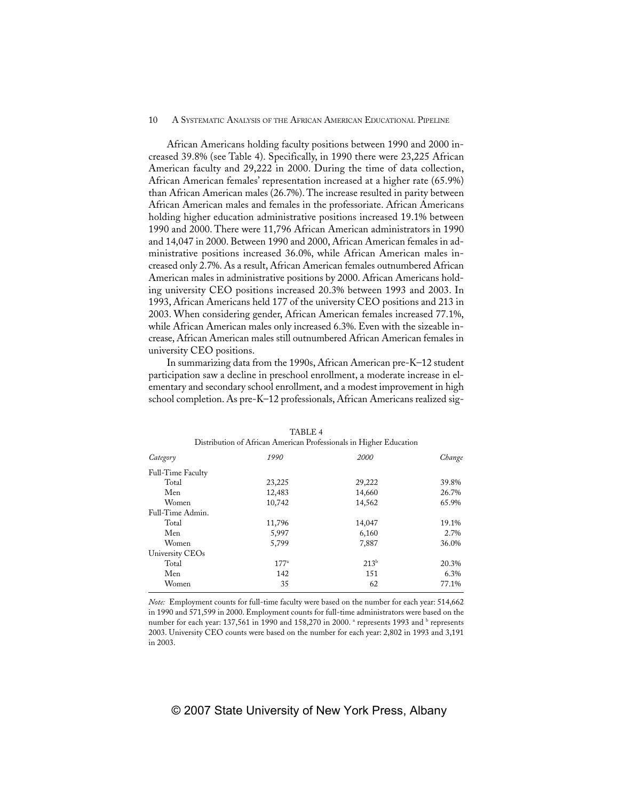African Americans holding faculty positions between 1990 and 2000 increased 39.8% (see Table 4). Specifically, in 1990 there were 23,225 African American faculty and 29,222 in 2000. During the time of data collection, African American females' representation increased at a higher rate (65.9%) than African American males (26.7%). The increase resulted in parity between African American males and females in the professoriate. African Americans holding higher education administrative positions increased 19.1% between 1990 and 2000. There were 11,796 African American administrators in 1990 and 14,047 in 2000. Between 1990 and 2000, African American females in administrative positions increased 36.0%, while African American males increased only 2.7%. As a result, African American females outnumbered African American males in administrative positions by 2000. African Americans holding university CEO positions increased 20.3% between 1993 and 2003. In 1993, African Americans held 177 of the university CEO positions and 213 in 2003. When considering gender, African American females increased 77.1%, while African American males only increased 6.3%. Even with the sizeable increase, African American males still outnumbered African American females in university CEO positions.

In summarizing data from the 1990s, African American pre-K–12 student participation saw a decline in preschool enrollment, a moderate increase in elementary and secondary school enrollment, and a modest improvement in high school completion. As pre-K–12 professionals, African Americans realized sig-

| Distribution of African American Professionals in Higher Education |               |         |        |  |
|--------------------------------------------------------------------|---------------|---------|--------|--|
| Category                                                           | 1990          | 2000    | Change |  |
| Full-Time Faculty                                                  |               |         |        |  |
| Total                                                              | 23,225        | 29,222  | 39.8%  |  |
| Men                                                                | 12,483        | 14,660  | 26.7%  |  |
| Women                                                              | 10,742        | 14,562  | 65.9%  |  |
| Full-Time Admin.                                                   |               |         |        |  |
| Total                                                              | 11,796        | 14,047  | 19.1%  |  |
| Men                                                                | 5,997         | 6,160   | 2.7%   |  |
| Women                                                              | 5,799         | 7,887   | 36.0%  |  |
| University CEOs                                                    |               |         |        |  |
| Total                                                              | $177^{\rm a}$ | $213^b$ | 20.3%  |  |
| Men                                                                | 142           | 151     | 6.3%   |  |
| Women                                                              | 35            | 62      | 77.1%  |  |
|                                                                    |               |         |        |  |

TABLE 4

*Note:* Employment counts for full-time faculty were based on the number for each year: 514,662 in 1990 and 571,599 in 2000. Employment counts for full-time administrators were based on the number for each year: 137,561 in 1990 and 158,270 in 2000.  $^{\circ}$  represents 1993 and  $^{\circ}$  represents 2003. University CEO counts were based on the number for each year: 2,802 in 1993 and 3,191 in 2003.

#### © 2007 State University of New York Press, Albany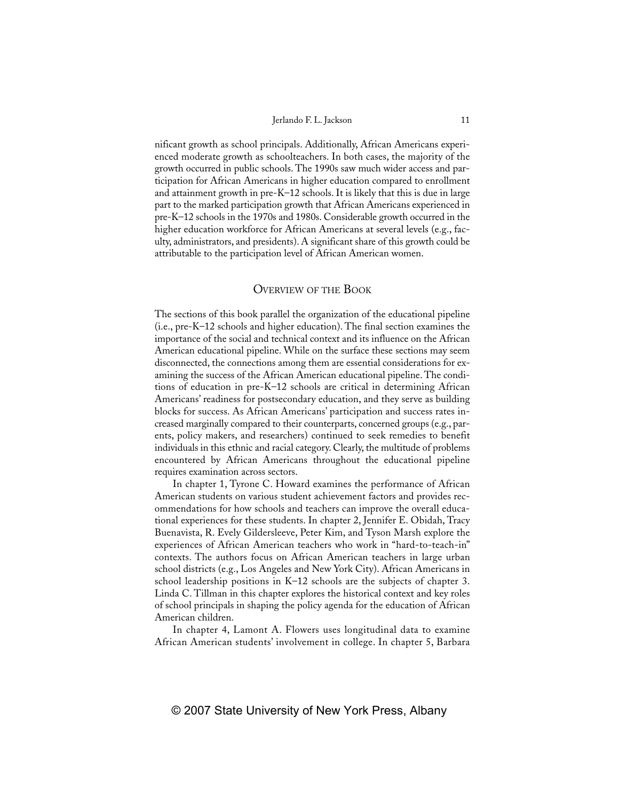nificant growth as school principals. Additionally, African Americans experienced moderate growth as schoolteachers. In both cases, the majority of the growth occurred in public schools. The 1990s saw much wider access and participation for African Americans in higher education compared to enrollment and attainment growth in pre-K–12 schools. It is likely that this is due in large part to the marked participation growth that African Americans experienced in pre-K–12 schools in the 1970s and 1980s. Considerable growth occurred in the higher education workforce for African Americans at several levels (e.g., faculty, administrators, and presidents). A significant share of this growth could be attributable to the participation level of African American women.

#### OVERVIEW OF THE BOOK

The sections of this book parallel the organization of the educational pipeline (i.e., pre-K–12 schools and higher education). The final section examines the importance of the social and technical context and its influence on the African American educational pipeline. While on the surface these sections may seem disconnected, the connections among them are essential considerations for examining the success of the African American educational pipeline. The conditions of education in pre-K–12 schools are critical in determining African Americans' readiness for postsecondary education, and they serve as building blocks for success. As African Americans' participation and success rates increased marginally compared to their counterparts, concerned groups (e.g., parents, policy makers, and researchers) continued to seek remedies to benefit individuals in this ethnic and racial category. Clearly, the multitude of problems encountered by African Americans throughout the educational pipeline requires examination across sectors.

In chapter 1, Tyrone C. Howard examines the performance of African American students on various student achievement factors and provides recommendations for how schools and teachers can improve the overall educational experiences for these students. In chapter 2, Jennifer E. Obidah, Tracy Buenavista, R. Evely Gildersleeve, Peter Kim, and Tyson Marsh explore the experiences of African American teachers who work in "hard-to-teach-in" contexts. The authors focus on African American teachers in large urban school districts (e.g., Los Angeles and New York City). African Americans in school leadership positions in K–12 schools are the subjects of chapter 3. Linda C. Tillman in this chapter explores the historical context and key roles of school principals in shaping the policy agenda for the education of African American children.

In chapter 4, Lamont A. Flowers uses longitudinal data to examine African American students' involvement in college. In chapter 5, Barbara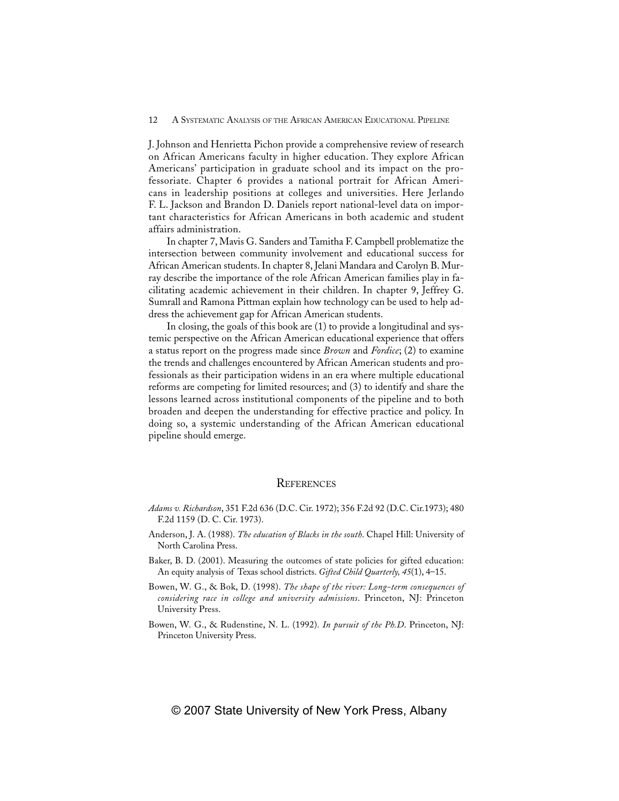J. Johnson and Henrietta Pichon provide a comprehensive review of research on African Americans faculty in higher education. They explore African Americans' participation in graduate school and its impact on the professoriate. Chapter 6 provides a national portrait for African Americans in leadership positions at colleges and universities. Here Jerlando F. L. Jackson and Brandon D. Daniels report national-level data on important characteristics for African Americans in both academic and student affairs administration.

In chapter 7, Mavis G. Sanders and Tamitha F. Campbell problematize the intersection between community involvement and educational success for African American students. In chapter 8, Jelani Mandara and Carolyn B. Murray describe the importance of the role African American families play in facilitating academic achievement in their children. In chapter 9, Jeffrey G. Sumrall and Ramona Pittman explain how technology can be used to help address the achievement gap for African American students.

In closing, the goals of this book are (1) to provide a longitudinal and systemic perspective on the African American educational experience that offers a status report on the progress made since *Brown* and *Fordice*; (2) to examine the trends and challenges encountered by African American students and professionals as their participation widens in an era where multiple educational reforms are competing for limited resources; and (3) to identify and share the lessons learned across institutional components of the pipeline and to both broaden and deepen the understanding for effective practice and policy. In doing so, a systemic understanding of the African American educational pipeline should emerge.

#### **REFERENCES**

- *Adams v. Richardson*, 351 F.2d 636 (D.C. Cir. 1972); 356 F.2d 92 (D.C. Cir.1973); 480 F.2d 1159 (D. C. Cir. 1973).
- Anderson, J. A. (1988). *The education of Blacks in the south*. Chapel Hill: University of North Carolina Press.
- Baker, B. D. (2001). Measuring the outcomes of state policies for gifted education: An equity analysis of Texas school districts. *Gifted Child Quarterly, 45*(1), 4–15.
- Bowen, W. G., & Bok, D. (1998). *The shape of the river: Long-term consequences of considering race in college and university admissions*. Princeton, NJ: Princeton University Press.
- Bowen, W. G., & Rudenstine, N. L. (1992). *In pursuit of the Ph.D*. Princeton, NJ: Princeton University Press.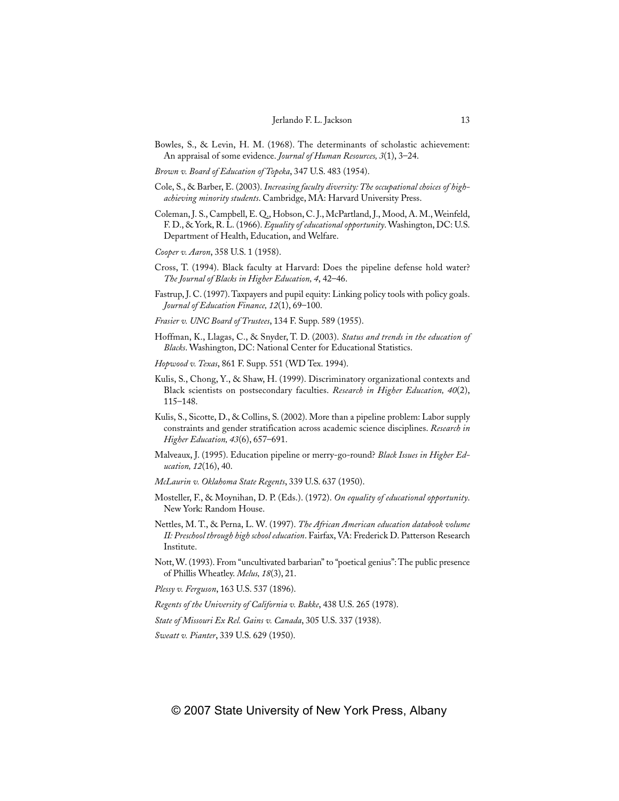- Bowles, S., & Levin, H. M. (1968). The determinants of scholastic achievement: An appraisal of some evidence. *Journal of Human Resources, 3*(1), 3–24.
- *Brown v. Board of Education of Topeka*, 347 U.S. 483 (1954).
- Cole, S., & Barber, E. (2003). *Increasing faculty diversity: The occupational choices of highachieving minority students*. Cambridge, MA: Harvard University Press.
- Coleman, J. S., Campbell, E. Q., Hobson, C. J., McPartland, J., Mood, A. M., Weinfeld, F. D., & York, R. L. (1966). *Equality of educational opportunity*. Washington, DC: U.S. Department of Health, Education, and Welfare.
- *Cooper v. Aaron*, 358 U.S. 1 (1958).
- Cross, T. (1994). Black faculty at Harvard: Does the pipeline defense hold water? *The Journal of Blacks in Higher Education, 4*, 42–46.
- Fastrup, J. C. (1997). Taxpayers and pupil equity: Linking policy tools with policy goals. *Journal of Education Finance, 12*(1), 69–100.
- *Frasier v. UNC Board of Trustees*, 134 F. Supp. 589 (1955).
- Hoffman, K., Llagas, C., & Snyder, T. D. (2003). *Status and trends in the education of Blacks*. Washington, DC: National Center for Educational Statistics.
- *Hopwood v. Texas*, 861 F. Supp. 551 (WD Tex. 1994).
- Kulis, S., Chong, Y., & Shaw, H. (1999). Discriminatory organizational contexts and Black scientists on postsecondary faculties. *Research in Higher Education, 40*(2), 115–148.
- Kulis, S., Sicotte, D., & Collins, S. (2002). More than a pipeline problem: Labor supply constraints and gender stratification across academic science disciplines. *Research in Higher Education, 43*(6), 657–691.
- Malveaux, J. (1995). Education pipeline or merry-go-round? *Black Issues in Higher Education, 12*(16), 40.
- *McLaurin v. Oklahoma State Regents*, 339 U.S. 637 (1950).
- Mosteller, F., & Moynihan, D. P. (Eds.). (1972). *On equality of educational opportunity*. New York: Random House.
- Nettles, M. T., & Perna, L. W. (1997). *The African American education databook volume II: Preschool through high school education*. Fairfax, VA: Frederick D. Patterson Research Institute.
- Nott, W. (1993). From "uncultivated barbarian" to "poetical genius": The public presence of Phillis Wheatley. *Melus, 18*(3), 21.
- *Plessy v. Ferguson*, 163 U.S. 537 (1896).

*Regents of the University of California v. Bakke*, 438 U.S. 265 (1978).

*State of Missouri Ex Rel. Gains v. Canada*, 305 U.S. 337 (1938).

*Sweatt v. Pianter*, 339 U.S. 629 (1950).